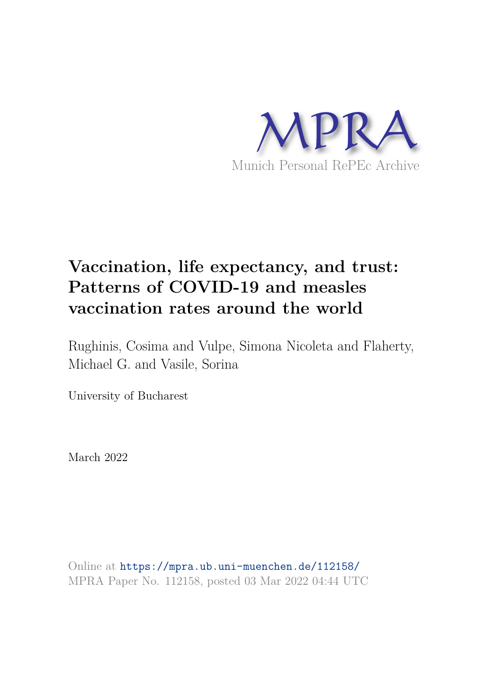

# **Vaccination, life expectancy, and trust: Patterns of COVID-19 and measles vaccination rates around the world**

Rughinis, Cosima and Vulpe, Simona Nicoleta and Flaherty, Michael G. and Vasile, Sorina

University of Bucharest

March 2022

Online at https://mpra.ub.uni-muenchen.de/112158/ MPRA Paper No. 112158, posted 03 Mar 2022 04:44 UTC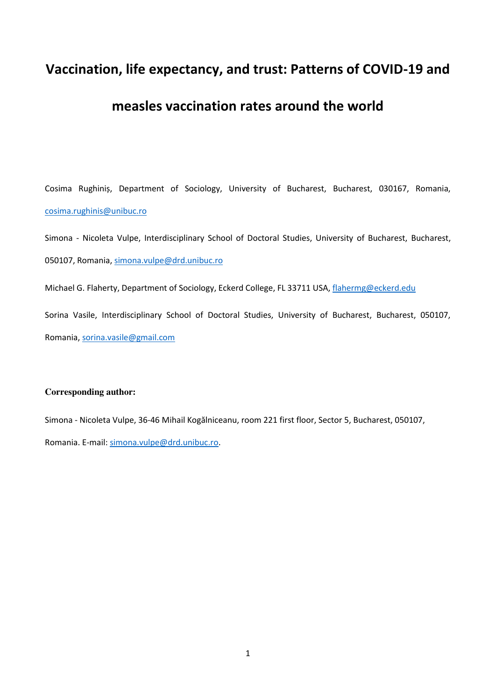# **Vaccination, life expectancy, and trust: Patterns of COVID-19 and**

# **measles vaccination rates around the world**

Cosima Rughiniș, Department of Sociology, University of Bucharest, Bucharest, 030167, Romania, [cosima.rughinis@unibuc.ro](mailto:cosima.rughinis@unibuc.ro) 

Simona - Nicoleta Vulpe, Interdisciplinary School of Doctoral Studies, University of Bucharest, Bucharest, 050107, Romania, [simona.vulpe@drd.unibuc.ro](mailto:simona.vulpe@drd.unibuc.ro) 

Michael G. Flaherty, Department of Sociology, Eckerd College, FL 33711 USA, flahermg@eckerd.edu

Sorina Vasile, Interdisciplinary School of Doctoral Studies, University of Bucharest, Bucharest, 050107, Romania[, sorina.vasile@gmail.com](mailto:sorina.vasile@gmail.com) 

#### **Corresponding author:**

Simona - Nicoleta Vulpe, 36-46 Mihail Kogălniceanu, room 221 first floor, Sector 5, Bucharest, 050107, Romania. E-mail: [simona.vulpe@drd.unibuc.ro.](mailto:simona.vulpe@drd.unibuc.ro)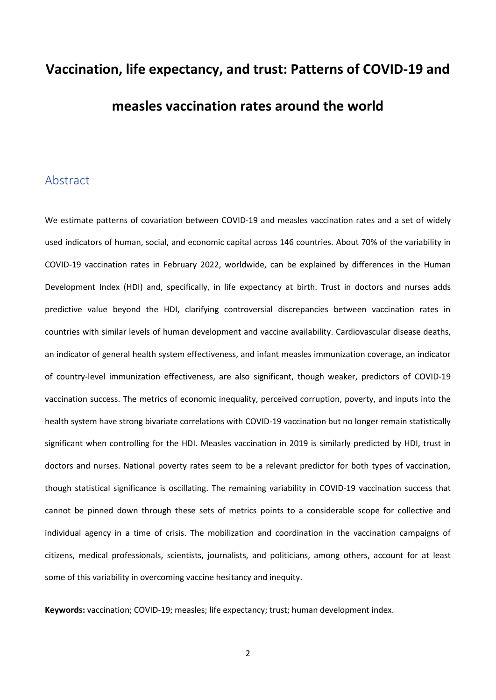# **Vaccination, life expectancy, and trust: Patterns of COVID-19 and measles vaccination rates around the world**

#### Abstract

We estimate patterns of covariation between COVID-19 and measles vaccination rates and a set of widely used indicators of human, social, and economic capital across 146 countries. About 70% of the variability in COVID-19 vaccination rates in February 2022, worldwide, can be explained by differences in the Human Development Index (HDI) and, specifically, in life expectancy at birth. Trust in doctors and nurses adds predictive value beyond the HDI, clarifying controversial discrepancies between vaccination rates in countries with similar levels of human development and vaccine availability. Cardiovascular disease deaths, an indicator of general health system effectiveness, and infant measles immunization coverage, an indicator of country-level immunization effectiveness, are also significant, though weaker, predictors of COVID-19 vaccination success. The metrics of economic inequality, perceived corruption, poverty, and inputs into the health system have strong bivariate correlations with COVID-19 vaccination but no longer remain statistically significant when controlling for the HDI. Measles vaccination in 2019 is similarly predicted by HDI, trust in doctors and nurses. National poverty rates seem to be a relevant predictor for both types of vaccination, though statistical significance is oscillating. The remaining variability in COVID-19 vaccination success that cannot be pinned down through these sets of metrics points to a considerable scope for collective and individual agency in a time of crisis. The mobilization and coordination in the vaccination campaigns of citizens, medical professionals, scientists, journalists, and politicians, among others, account for at least some of this variability in overcoming vaccine hesitancy and inequity.

**Keywords:** vaccination; COVID-19; measles; life expectancy; trust; human development index.

2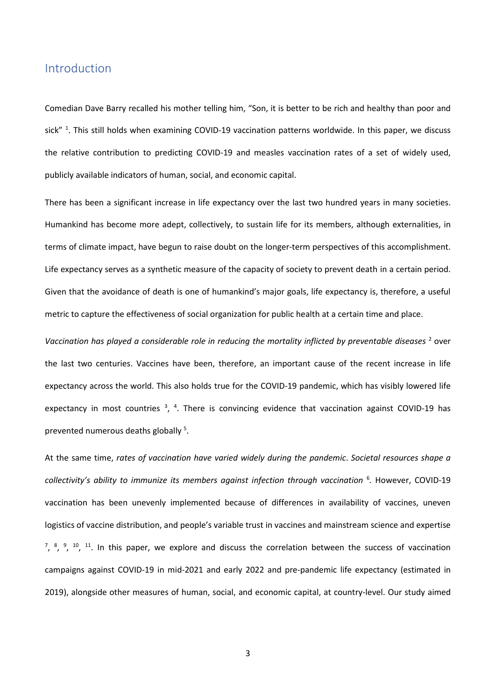#### Introduction

Comedian Dave Barry recalled his mother telling him, "Son, it is better to be rich and healthy than poor and sick" <sup>1</sup>. This still holds when examining COVID-19 vaccination patterns worldwide. In this paper, we discuss the relative contribution to predicting COVID-19 and measles vaccination rates of a set of widely used, publicly available indicators of human, social, and economic capital.

There has been a significant increase in life expectancy over the last two hundred years in many societies. Humankind has become more adept, collectively, to sustain life for its members, although externalities, in terms of climate impact, have begun to raise doubt on the longer-term perspectives of this accomplishment. Life expectancy serves as a synthetic measure of the capacity of society to prevent death in a certain period. Given that the avoidance of death is one of humankind's major goals, life expectancy is, therefore, a useful metric to capture the effectiveness of social organization for public health at a certain time and place.

Vaccination has played a considerable role in reducing the mortality inflicted by preventable diseases<sup>2</sup> over the last two centuries. Vaccines have been, therefore, an important cause of the recent increase in life expectancy across the world. This also holds true for the COVID-19 pandemic, which has visibly lowered life expectancy in most countries  $3$ ,  $4$ . There is convincing evidence that vaccination against COVID-19 has prevented numerous deaths globally<sup>5</sup>.

At the same time, *rates of vaccination have varied widely during the pandemic*. *Societal resources shape a collectivity's ability to immunize its members against infection through vaccination* <sup>6</sup> *.* However, COVID-19 vaccination has been unevenly implemented because of differences in availability of vaccines, uneven logistics of vaccine distribution, and people's variable trust in vaccines and mainstream science and expertise  $7, 8, 9, 10, 11$ . In this paper, we explore and discuss the correlation between the success of vaccination campaigns against COVID-19 in mid-2021 and early 2022 and pre-pandemic life expectancy (estimated in 2019), alongside other measures of human, social, and economic capital, at country-level. Our study aimed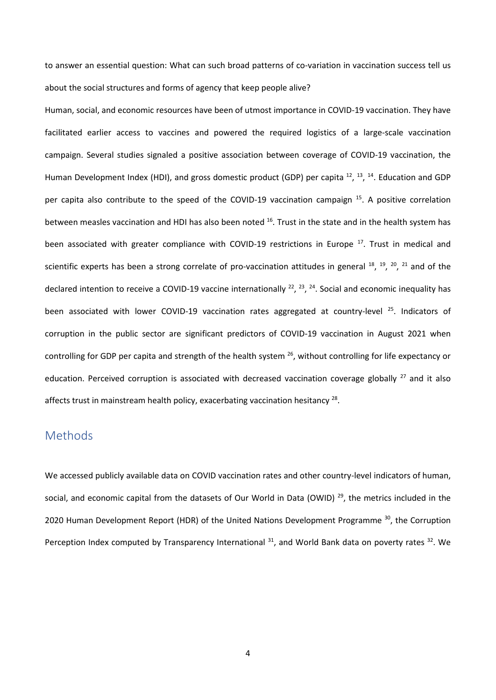to answer an essential question: What can such broad patterns of co-variation in vaccination success tell us about the social structures and forms of agency that keep people alive?

Human, social, and economic resources have been of utmost importance in COVID-19 vaccination. They have facilitated earlier access to vaccines and powered the required logistics of a large-scale vaccination campaign. Several studies signaled a positive association between coverage of COVID-19 vaccination, the Human Development Index (HDI), and gross domestic product (GDP) per capita <sup>12</sup>, <sup>13</sup>, <sup>14</sup>. Education and GDP per capita also contribute to the speed of the COVID-19 vaccination campaign <sup>15</sup>. A positive correlation between measles vaccination and HDI has also been noted <sup>16</sup>. Trust in the state and in the health system has been associated with greater compliance with COVID-19 restrictions in Europe <sup>17</sup>. Trust in medical and scientific experts has been a strong correlate of pro-vaccination attitudes in general  $^{18}$ ,  $^{19}$ ,  $^{20}$ ,  $^{21}$  and of the declared intention to receive a COVID-19 vaccine internationally  $^{22}$ ,  $^{23}$ ,  $^{24}$ . Social and economic inequality has been associated with lower COVID-19 vaccination rates aggregated at country-level<sup>25</sup>. Indicators of corruption in the public sector are significant predictors of COVID-19 vaccination in August 2021 when controlling for GDP per capita and strength of the health system <sup>26</sup>, without controlling for life expectancy or education. Perceived corruption is associated with decreased vaccination coverage globally <sup>27</sup> and it also affects trust in mainstream health policy, exacerbating vaccination hesitancy  $^{28}$ .

# Methods

We accessed publicly available data on COVID vaccination rates and other country-level indicators of human, social, and economic capital from the datasets of Our World in Data (OWID)<sup>29</sup>, the metrics included in the 2020 Human Development Report (HDR) of the United Nations Development Programme <sup>30</sup>, the Corruption Perception Index computed by Transparency International <sup>31</sup>, and World Bank data on poverty rates <sup>32</sup>. We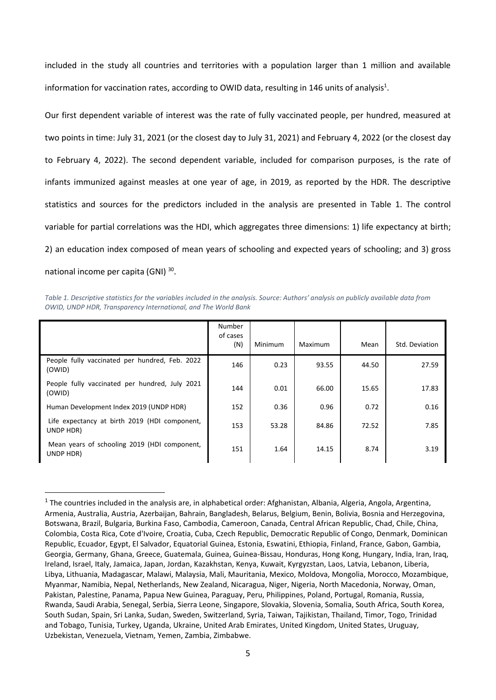included in the study all countries and territories with a population larger than 1 million and available information for vaccination rates, according to OWID data, resulting in 146 units of analysis<sup>1</sup>.

Our first dependent variable of interest was the rate of fully vaccinated people, per hundred, measured at two points in time: July 31, 2021 (or the closest day to July 31, 2021) and February 4, 2022 (or the closest day to February 4, 2022). The second dependent variable, included for comparison purposes, is the rate of infants immunized against measles at one year of age, in 2019, as reported by the HDR. The descriptive statistics and sources for the predictors included in the analysis are presented in Table 1. The control variable for partial correlations was the HDI, which aggregates three dimensions: 1) life expectancy at birth; 2) an education index composed of mean years of schooling and expected years of schooling; and 3) gross national income per capita (GNI)<sup>30</sup>.

*Table 1. Descriptive statistics for the variables included in the analysis. Source: Authors' analysis on publicly available data from OWID, UNDP HDR, Transparency International, and The World Bank* 

|                                                            | Number<br>of cases<br>(N) | Minimum | Maximum | Mean  | Std. Deviation |
|------------------------------------------------------------|---------------------------|---------|---------|-------|----------------|
| People fully vaccinated per hundred, Feb. 2022<br>(OWID)   | 146                       | 0.23    | 93.55   | 44.50 | 27.59          |
| People fully vaccinated per hundred, July 2021<br>(OWID)   | 144                       | 0.01    | 66.00   | 15.65 | 17.83          |
| Human Development Index 2019 (UNDP HDR)                    | 152                       | 0.36    | 0.96    | 0.72  | 0.16           |
| Life expectancy at birth 2019 (HDI component,<br>UNDP HDR) | 153                       | 53.28   | 84.86   | 72.52 | 7.85           |
| Mean years of schooling 2019 (HDI component,<br>UNDP HDR)  | 151                       | 1.64    | 14.15   | 8.74  | 3.19           |

 $1$ The countries included in the analysis are, in alphabetical order: Afghanistan, Albania, Algeria, Angola, Argentina, Armenia, Australia, Austria, Azerbaijan, Bahrain, Bangladesh, Belarus, Belgium, Benin, Bolivia, Bosnia and Herzegovina, Botswana, Brazil, Bulgaria, Burkina Faso, Cambodia, Cameroon, Canada, Central African Republic, Chad, Chile, China, Colombia, Costa Rica, Cote d'Ivoire, Croatia, Cuba, Czech Republic, Democratic Republic of Congo, Denmark, Dominican Republic, Ecuador, Egypt, El Salvador, Equatorial Guinea, Estonia, Eswatini, Ethiopia, Finland, France, Gabon, Gambia, Georgia, Germany, Ghana, Greece, Guatemala, Guinea, Guinea-Bissau, Honduras, Hong Kong, Hungary, India, Iran, Iraq, Ireland, Israel, Italy, Jamaica, Japan, Jordan, Kazakhstan, Kenya, Kuwait, Kyrgyzstan, Laos, Latvia, Lebanon, Liberia, Libya, Lithuania, Madagascar, Malawi, Malaysia, Mali, Mauritania, Mexico, Moldova, Mongolia, Morocco, Mozambique, Myanmar, Namibia, Nepal, Netherlands, New Zealand, Nicaragua, Niger, Nigeria, North Macedonia, Norway, Oman, Pakistan, Palestine, Panama, Papua New Guinea, Paraguay, Peru, Philippines, Poland, Portugal, Romania, Russia, Rwanda, Saudi Arabia, Senegal, Serbia, Sierra Leone, Singapore, Slovakia, Slovenia, Somalia, South Africa, South Korea, South Sudan, Spain, Sri Lanka, Sudan, Sweden, Switzerland, Syria, Taiwan, Tajikistan, Thailand, Timor, Togo, Trinidad and Tobago, Tunisia, Turkey, Uganda, Ukraine, United Arab Emirates, United Kingdom, United States, Uruguay, Uzbekistan, Venezuela, Vietnam, Yemen, Zambia, Zimbabwe.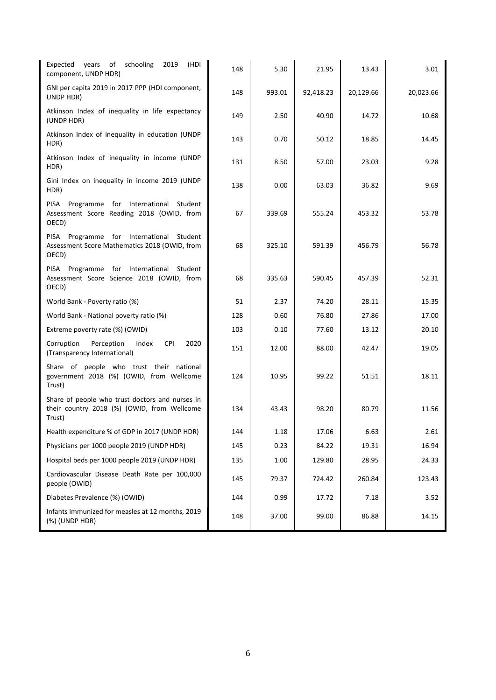| (HDI<br>Expected<br>years of<br>schooling<br>2019<br>component, UNDP HDR)                                | 148 | 5.30   | 21.95     | 13.43     | 3.01      |
|----------------------------------------------------------------------------------------------------------|-----|--------|-----------|-----------|-----------|
| GNI per capita 2019 in 2017 PPP (HDI component,<br>UNDP HDR)                                             | 148 | 993.01 | 92,418.23 | 20,129.66 | 20,023.66 |
| Atkinson Index of inequality in life expectancy<br>(UNDP HDR)                                            | 149 | 2.50   | 40.90     | 14.72     | 10.68     |
| Atkinson Index of inequality in education (UNDP<br>HDR)                                                  | 143 | 0.70   | 50.12     | 18.85     | 14.45     |
| Atkinson Index of inequality in income (UNDP<br>HDR)                                                     | 131 | 8.50   | 57.00     | 23.03     | 9.28      |
| Gini Index on inequality in income 2019 (UNDP<br>HDR)                                                    | 138 | 0.00   | 63.03     | 36.82     | 9.69      |
| Programme for International Student<br>PISA<br>Assessment Score Reading 2018 (OWID, from<br>OECD)        | 67  | 339.69 | 555.24    | 453.32    | 53.78     |
| PISA Programme for International<br>Student<br>Assessment Score Mathematics 2018 (OWID, from<br>OECD)    | 68  | 325.10 | 591.39    | 456.79    | 56.78     |
| PISA Programme for International<br>Student<br>Assessment Score Science 2018 (OWID, from<br>OECD)        | 68  | 335.63 | 590.45    | 457.39    | 52.31     |
| World Bank - Poverty ratio (%)                                                                           | 51  | 2.37   | 74.20     | 28.11     | 15.35     |
| World Bank - National poverty ratio (%)                                                                  | 128 | 0.60   | 76.80     | 27.86     | 17.00     |
| Extreme poverty rate (%) (OWID)                                                                          | 103 | 0.10   | 77.60     | 13.12     | 20.10     |
| Corruption<br><b>CPI</b><br>2020<br>Perception<br>Index<br>(Transparency International)                  | 151 | 12.00  | 88.00     | 42.47     | 19.05     |
| Share of people who trust their national<br>government 2018 (%) (OWID, from Wellcome<br>Trust)           | 124 | 10.95  | 99.22     | 51.51     | 18.11     |
| Share of people who trust doctors and nurses in<br>their country 2018 (%) (OWID, from Wellcome<br>Trust) | 134 | 43.43  | 98.20     | 80.79     | 11.56     |
| Health expenditure % of GDP in 2017 (UNDP HDR)                                                           | 144 | 1.18   | 17.06     | 6.63      | 2.61      |
| Physicians per 1000 people 2019 (UNDP HDR)                                                               | 145 | 0.23   | 84.22     | 19.31     | 16.94     |
| Hospital beds per 1000 people 2019 (UNDP HDR)                                                            | 135 | 1.00   | 129.80    | 28.95     | 24.33     |
| Cardiovascular Disease Death Rate per 100,000<br>people (OWID)                                           | 145 | 79.37  | 724.42    | 260.84    | 123.43    |
| Diabetes Prevalence (%) (OWID)                                                                           | 144 | 0.99   | 17.72     | 7.18      | 3.52      |
| Infants immunized for measles at 12 months, 2019<br>(%) (UNDP HDR)                                       | 148 | 37.00  | 99.00     | 86.88     | 14.15     |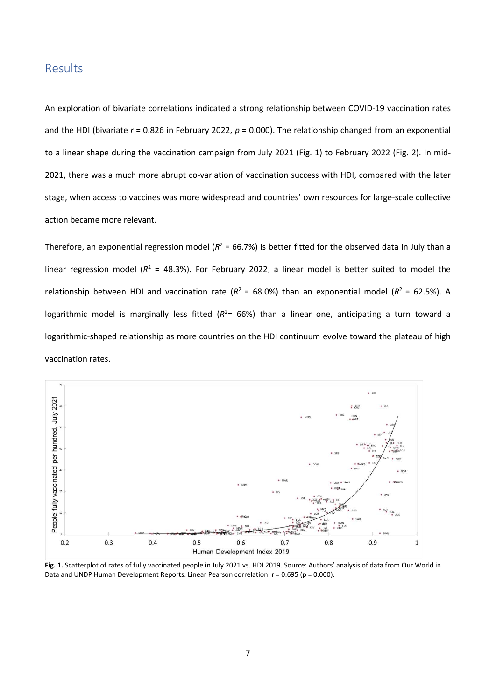#### Results

An exploration of bivariate correlations indicated a strong relationship between COVID-19 vaccination rates and the HDI (bivariate *r* = 0.826 in February 2022, *p* = 0.000). The relationship changed from an exponential to a linear shape during the vaccination campaign from July 2021 (Fig. 1) to February 2022 (Fig. 2). In mid-2021, there was a much more abrupt co-variation of vaccination success with HDI, compared with the later stage, when access to vaccines was more widespread and countries' own resources for large-scale collective action became more relevant.

Therefore, an exponential regression model ( $R^2$  = 66.7%) is better fitted for the observed data in July than a linear regression model ( $R^2$  = 48.3%). For February 2022, a linear model is better suited to model the relationship between HDI and vaccination rate ( $R^2$  = 68.0%) than an exponential model ( $R^2$  = 62.5%). A logarithmic model is marginally less fitted ( $R^2$ = 66%) than a linear one, anticipating a turn toward a logarithmic-shaped relationship as more countries on the HDI continuum evolve toward the plateau of high vaccination rates.



**Fig. 1.** Scatterplot of rates of fully vaccinated people in July 2021 vs. HDI 2019. Source: Authors' analysis of data from Our World in Data and UNDP Human Development Reports. Linear Pearson correlation:  $r = 0.695$  (p = 0.000).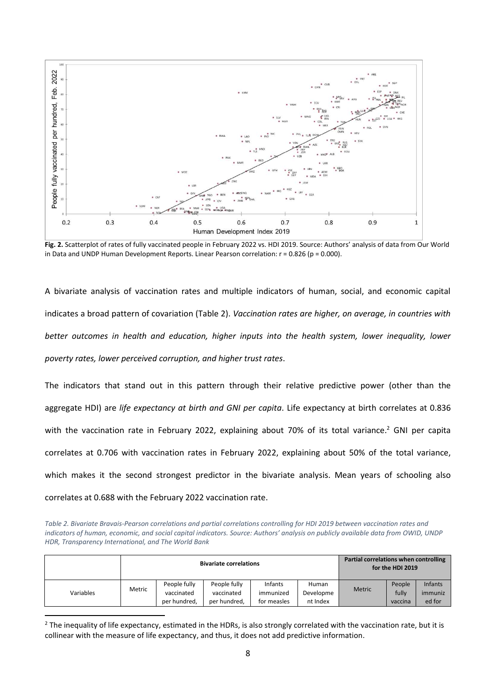

**Fig. 2.** Scatterplot of rates of fully vaccinated people in February 2022 vs. HDI 2019. Source: Authors' analysis of data from Our World in Data and UNDP Human Development Reports. Linear Pearson correlation:  $r = 0.826$  (p = 0.000).

A bivariate analysis of vaccination rates and multiple indicators of human, social, and economic capital indicates a broad pattern of covariation (Table 2). *Vaccination rates are higher, on average, in countries with*  better outcomes in health and education, higher inputs into the health system, lower inequality, lower *poverty rates, lower perceived corruption, and higher trust rates*.

The indicators that stand out in this pattern through their relative predictive power (other than the aggregate HDI) are *life expectancy at birth and GNI per capita*. Life expectancy at birth correlates at 0.836 with the vaccination rate in February 2022, explaining about 70% of its total variance.<sup>2</sup> GNI per capita correlates at 0.706 with vaccination rates in February 2022, explaining about 50% of the total variance, which makes it the second strongest predictor in the bivariate analysis. Mean years of schooling also correlates at 0.688 with the February 2022 vaccination rate.

*Table 2. Bivariate Bravais-Pearson correlations and partial correlations controlling for HDI 2019 between vaccination rates and indicators of human, economic, and social capital indicators. Source: Authors' analysis on publicly available data from OWID, UNDP HDR, Transparency International, and The World Bank* 

|           |        |              | <b>Bivariate correlations</b> | Partial correlations when controlling | for the HDI 2019 |               |         |                |
|-----------|--------|--------------|-------------------------------|---------------------------------------|------------------|---------------|---------|----------------|
|           | Metric | People fully | People fully                  | Infants                               | Human            | <b>Metric</b> | People  | <b>Infants</b> |
| Variables |        | vaccinated   | vaccinated                    | immunized                             | Developme        |               | fully   | immuniz        |
|           |        | per hundred, | per hundred,                  | for measles                           | nt Index         |               | vaccina | ed for         |

<sup>&</sup>lt;sup>2</sup> The inequality of life expectancy, estimated in the HDRs, is also strongly correlated with the vaccination rate, but it is collinear with the measure of life expectancy, and thus, it does not add predictive information.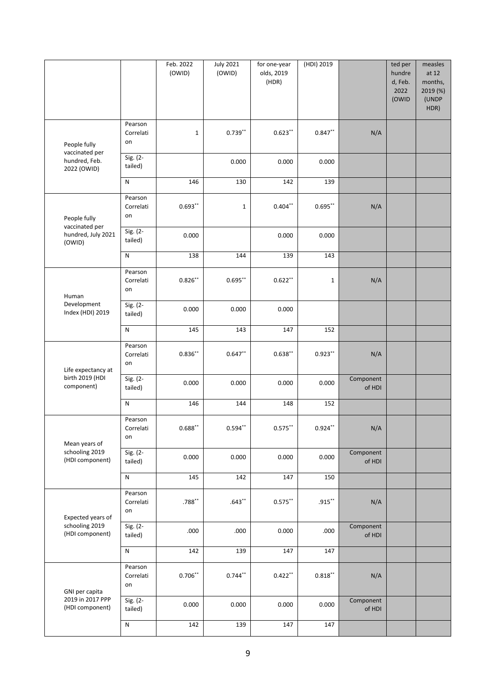|                                                |                            | Feb. 2022<br>(OWID) | <b>July 2021</b><br>(OWID) | for one-year<br>olds, 2019<br>(HDR) | (HDI) 2019  |                            | ted per<br>hundre<br>d, Feb.<br>2022<br>(OWID | measles<br>at 12<br>months,<br>2019 (%)<br>(UNDP<br>HDR) |
|------------------------------------------------|----------------------------|---------------------|----------------------------|-------------------------------------|-------------|----------------------------|-----------------------------------------------|----------------------------------------------------------|
| People fully                                   | Pearson<br>Correlati<br>on | $\mathbf 1$         | $0.739**$                  | $0.623**$                           | $0.847**$   | N/A                        |                                               |                                                          |
| vaccinated per<br>hundred, Feb.<br>2022 (OWID) | Sig. (2-<br>tailed)        |                     | 0.000                      | 0.000                               | 0.000       |                            |                                               |                                                          |
|                                                | ${\sf N}$                  | 146                 | 130                        | 142                                 | 139         |                            |                                               |                                                          |
| People fully<br>vaccinated per                 | Pearson<br>Correlati<br>on | $0.693**$           | $\mathbf{1}$               | $0.404**$                           | $0.695***$  | N/A                        |                                               |                                                          |
| hundred, July 2021<br>(OWID)                   | Sig. (2-<br>tailed)        | 0.000               |                            | 0.000                               | 0.000       |                            |                                               |                                                          |
|                                                | ${\sf N}$                  | 138                 | 144                        | 139                                 | 143         |                            |                                               |                                                          |
| Human                                          | Pearson<br>Correlati<br>on | $0.826***$          | $0.695***$                 | $0.622**$                           | $\mathbf 1$ | N/A                        |                                               |                                                          |
| Development<br>Index (HDI) 2019                | Sig. (2-<br>tailed)        | 0.000               | 0.000                      | 0.000                               |             |                            |                                               |                                                          |
|                                                | ${\sf N}$                  | 145                 | 143                        | 147                                 | 152         |                            |                                               |                                                          |
| Life expectancy at                             | Pearson<br>Correlati<br>on | $0.836***$          | $0.647**$                  | $0.638**$                           | $0.923***$  | N/A                        |                                               |                                                          |
| birth 2019 (HDI<br>component)                  | Sig. (2-<br>tailed)        | 0.000               | 0.000                      | 0.000                               | 0.000       | Component<br>of HDI        |                                               |                                                          |
|                                                | N                          | 146                 | 144                        | 148                                 | 152         |                            |                                               |                                                          |
| Mean years of                                  | Pearson<br>Correlati<br>on | $0.688**$           | $0.594***$                 | $0.575***$                          | $0.924***$  | N/A                        |                                               |                                                          |
| schooling 2019<br>(HDI component)              | Sig. (2-<br>tailed)        | 0.000               | 0.000                      | 0.000                               | 0.000       | Component<br>of HDI        |                                               |                                                          |
|                                                | ${\sf N}$                  | 145                 | 142                        | 147                                 | 150         |                            |                                               |                                                          |
| Expected years of                              | Pearson<br>Correlati<br>on | $.788**$            | $.643**$                   | $0.575***$                          | $.915***$   | N/A                        |                                               |                                                          |
| schooling 2019<br>(HDI component)              | Sig. (2-<br>tailed)        | .000                | .000                       | 0.000                               | .000        | Component<br>of HDI        |                                               |                                                          |
|                                                | ${\sf N}$                  | 142                 | 139                        | 147                                 | 147         | N/A<br>Component<br>of HDI |                                               |                                                          |
| GNI per capita                                 | Pearson<br>Correlati<br>on | $0.706***$          | $0.744***$                 | $0.422***$                          | $0.818***$  |                            |                                               |                                                          |
| 2019 in 2017 PPP<br>(HDI component)            | Sig. (2-<br>tailed)        | 0.000               | 0.000                      | 0.000                               | 0.000       |                            |                                               |                                                          |
|                                                | ${\sf N}$                  | 142                 | 139                        | 147                                 | 147         |                            |                                               |                                                          |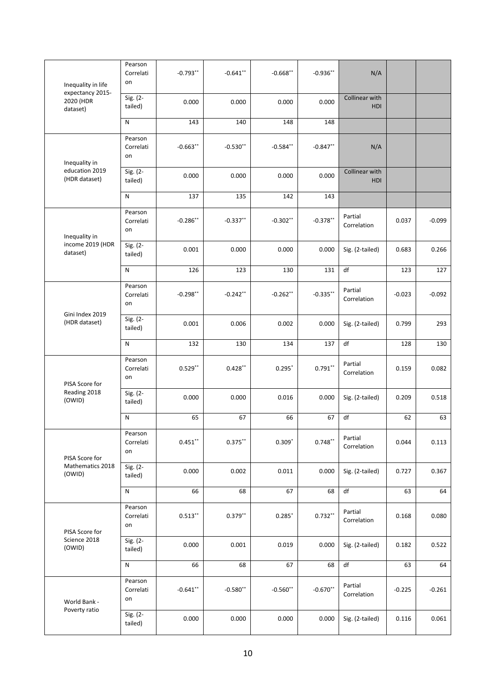| Inequality in life                                                                                                                                                 | Pearson<br>Correlati<br>on | $-0.793**$ | $-0.641$ **                                                                                                                                                                                                                                                                                                                                                                                                                                                                                                                                                                                                                                                                                                                                                                                                                                                                                                                                                                                                                                        | $-0.668**$ | $-0.936**$ | N/A                   |          |          |
|--------------------------------------------------------------------------------------------------------------------------------------------------------------------|----------------------------|------------|----------------------------------------------------------------------------------------------------------------------------------------------------------------------------------------------------------------------------------------------------------------------------------------------------------------------------------------------------------------------------------------------------------------------------------------------------------------------------------------------------------------------------------------------------------------------------------------------------------------------------------------------------------------------------------------------------------------------------------------------------------------------------------------------------------------------------------------------------------------------------------------------------------------------------------------------------------------------------------------------------------------------------------------------------|------------|------------|-----------------------|----------|----------|
| expectancy 2015-<br>2020 (HDR<br>dataset)                                                                                                                          | Sig. (2-<br>tailed)        | 0.000      | 0.000                                                                                                                                                                                                                                                                                                                                                                                                                                                                                                                                                                                                                                                                                                                                                                                                                                                                                                                                                                                                                                              | 0.000      | 0.000      | Collinear with<br>HDI |          |          |
|                                                                                                                                                                    | ${\sf N}$                  | 143        | 140                                                                                                                                                                                                                                                                                                                                                                                                                                                                                                                                                                                                                                                                                                                                                                                                                                                                                                                                                                                                                                                | 148        | 148        |                       |          |          |
| Inequality in                                                                                                                                                      | Pearson<br>Correlati<br>on | $-0.663**$ | $-0.530**$                                                                                                                                                                                                                                                                                                                                                                                                                                                                                                                                                                                                                                                                                                                                                                                                                                                                                                                                                                                                                                         | $-0.584**$ | $-0.847**$ | N/A                   |          |          |
| education 2019<br>(HDR dataset)                                                                                                                                    | Sig. (2-<br>tailed)        | 0.000      | 0.000                                                                                                                                                                                                                                                                                                                                                                                                                                                                                                                                                                                                                                                                                                                                                                                                                                                                                                                                                                                                                                              | 0.000      | 0.000      | Collinear with<br>HDI |          |          |
|                                                                                                                                                                    | N                          | 137        | 135<br>142<br>143<br>Partial<br>$-0.378**$<br>$-0.286**$<br>$-0.337**$<br>$-0.302**$<br>Correlation<br>0.001<br>0.000<br>0.000<br>0.000<br>Sig. (2-tailed)<br>df<br>126<br>131<br>123<br>130<br>Partial<br>$-0.335***$<br>$-0.298**$<br>$-0.242**$<br>$-0.262**$<br>Correlation<br>0.001<br>0.006<br>0.002<br>0.000<br>Sig. (2-tailed)<br>df<br>132<br>130<br>134<br>137<br>Partial<br>$0.791***$<br>$0.529**$<br>$0.428**$<br>$0.295*$<br>Correlation<br>0.000<br>0.000<br>0.016<br>0.000<br>Sig. (2-tailed)<br>$\mathsf{df}$<br>65<br>67<br>66<br>67<br>Partial<br>$0.748**$<br>$0.451***$<br>$0.375***$<br>$0.309*$<br>Correlation<br>0.000<br>0.002<br>0.011<br>0.000<br>Sig. (2-tailed)<br>66<br>68<br>$\mathsf{df}$<br>67<br>68<br>Partial<br>$0.732**$<br>$0.513***$<br>$0.379**$<br>$0.285*$<br>Correlation<br>0.000<br>0.001<br>0.019<br>0.000<br>Sig. (2-tailed)<br>df<br>66<br>68<br>67<br>68<br>Partial<br>$-0.670**$<br>$-0.641$ **<br>$-0.580**$<br>$-0.560**$<br>Correlation<br>0.000<br>0.000<br>0.000<br>0.000<br>Sig. (2-tailed) |            |            |                       |          |          |
| Inequality in                                                                                                                                                      | Pearson<br>Correlati<br>on |            |                                                                                                                                                                                                                                                                                                                                                                                                                                                                                                                                                                                                                                                                                                                                                                                                                                                                                                                                                                                                                                                    |            |            |                       | 0.037    | $-0.099$ |
| income 2019 (HDR<br>dataset)                                                                                                                                       | Sig. (2-<br>tailed)        |            |                                                                                                                                                                                                                                                                                                                                                                                                                                                                                                                                                                                                                                                                                                                                                                                                                                                                                                                                                                                                                                                    |            |            |                       | 0.683    | 0.266    |
|                                                                                                                                                                    | ${\sf N}$                  |            |                                                                                                                                                                                                                                                                                                                                                                                                                                                                                                                                                                                                                                                                                                                                                                                                                                                                                                                                                                                                                                                    |            |            |                       | 123      | 127      |
| Pearson<br>Correlati<br>on<br>Gini Index 2019<br>Sig. (2-<br>(HDR dataset)<br>tailed)<br>${\sf N}$<br>Pearson<br>Correlati<br>on<br>PISA Score for<br>Reading 2018 |                            |            |                                                                                                                                                                                                                                                                                                                                                                                                                                                                                                                                                                                                                                                                                                                                                                                                                                                                                                                                                                                                                                                    |            |            |                       | $-0.023$ | $-0.092$ |
|                                                                                                                                                                    |                            |            |                                                                                                                                                                                                                                                                                                                                                                                                                                                                                                                                                                                                                                                                                                                                                                                                                                                                                                                                                                                                                                                    |            |            |                       | 0.799    | 293      |
|                                                                                                                                                                    |                            |            |                                                                                                                                                                                                                                                                                                                                                                                                                                                                                                                                                                                                                                                                                                                                                                                                                                                                                                                                                                                                                                                    |            |            | 128                   | 130      |          |
|                                                                                                                                                                    |                            |            |                                                                                                                                                                                                                                                                                                                                                                                                                                                                                                                                                                                                                                                                                                                                                                                                                                                                                                                                                                                                                                                    |            |            |                       | 0.159    | 0.082    |
| (OWID)                                                                                                                                                             | Sig. (2-<br>tailed)        |            |                                                                                                                                                                                                                                                                                                                                                                                                                                                                                                                                                                                                                                                                                                                                                                                                                                                                                                                                                                                                                                                    |            |            |                       | 0.209    | 0.518    |
|                                                                                                                                                                    | N                          |            |                                                                                                                                                                                                                                                                                                                                                                                                                                                                                                                                                                                                                                                                                                                                                                                                                                                                                                                                                                                                                                                    |            |            |                       | 62       | 63       |
| PISA Score for                                                                                                                                                     | Pearson<br>Correlati<br>on |            |                                                                                                                                                                                                                                                                                                                                                                                                                                                                                                                                                                                                                                                                                                                                                                                                                                                                                                                                                                                                                                                    |            |            |                       | 0.044    | 0.113    |
| Mathematics 2018<br>(OWID)                                                                                                                                         | Sig. (2-<br>tailed)        |            |                                                                                                                                                                                                                                                                                                                                                                                                                                                                                                                                                                                                                                                                                                                                                                                                                                                                                                                                                                                                                                                    |            |            |                       | 0.727    | 0.367    |
|                                                                                                                                                                    | N                          |            |                                                                                                                                                                                                                                                                                                                                                                                                                                                                                                                                                                                                                                                                                                                                                                                                                                                                                                                                                                                                                                                    |            |            |                       | 63       | 64       |
| PISA Score for                                                                                                                                                     | Pearson<br>Correlati<br>on |            |                                                                                                                                                                                                                                                                                                                                                                                                                                                                                                                                                                                                                                                                                                                                                                                                                                                                                                                                                                                                                                                    |            |            |                       | 0.168    | 0.080    |
| Science 2018<br>(OWID)                                                                                                                                             | Sig. (2-<br>tailed)        |            |                                                                                                                                                                                                                                                                                                                                                                                                                                                                                                                                                                                                                                                                                                                                                                                                                                                                                                                                                                                                                                                    |            |            |                       | 0.182    | 0.522    |
|                                                                                                                                                                    | ${\sf N}$                  |            |                                                                                                                                                                                                                                                                                                                                                                                                                                                                                                                                                                                                                                                                                                                                                                                                                                                                                                                                                                                                                                                    |            |            |                       | 63       | 64       |
| World Bank -                                                                                                                                                       | Pearson<br>Correlati<br>on |            |                                                                                                                                                                                                                                                                                                                                                                                                                                                                                                                                                                                                                                                                                                                                                                                                                                                                                                                                                                                                                                                    |            |            |                       | $-0.225$ | $-0.261$ |
| Poverty ratio                                                                                                                                                      | Sig. (2-<br>tailed)        |            |                                                                                                                                                                                                                                                                                                                                                                                                                                                                                                                                                                                                                                                                                                                                                                                                                                                                                                                                                                                                                                                    |            |            |                       | 0.116    | 0.061    |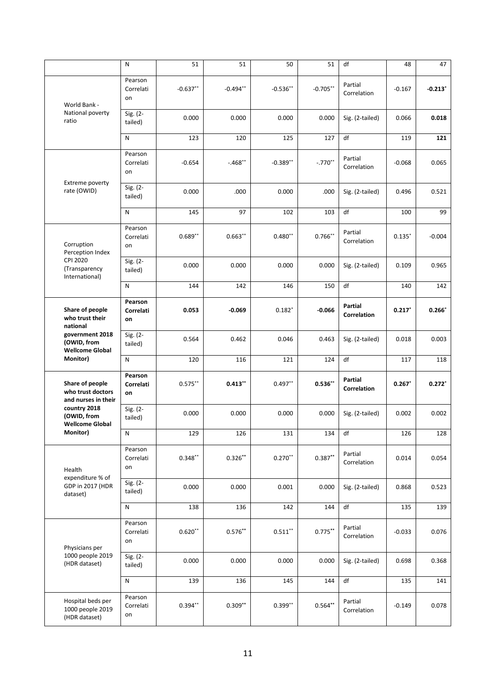|                                                                                                                        | N                          | 51         | 51         | 50                                                                                                                                                                                                                                                                                                                                                                                                                                                                                                                                                                                                                                                                                                                                                                                                                                                                   | 51          | df                     | 48        | 47        |
|------------------------------------------------------------------------------------------------------------------------|----------------------------|------------|------------|----------------------------------------------------------------------------------------------------------------------------------------------------------------------------------------------------------------------------------------------------------------------------------------------------------------------------------------------------------------------------------------------------------------------------------------------------------------------------------------------------------------------------------------------------------------------------------------------------------------------------------------------------------------------------------------------------------------------------------------------------------------------------------------------------------------------------------------------------------------------|-------------|------------------------|-----------|-----------|
| World Bank -                                                                                                           | Pearson<br>Correlati<br>on | $-0.637**$ | $-0.494**$ | $-0.536**$                                                                                                                                                                                                                                                                                                                                                                                                                                                                                                                                                                                                                                                                                                                                                                                                                                                           | $-0.705***$ | Partial<br>Correlation | $-0.167$  | $-0.213"$ |
| National poverty<br>ratio                                                                                              | Sig. (2-<br>tailed)        | 0.000      | 0.000      | 0.000                                                                                                                                                                                                                                                                                                                                                                                                                                                                                                                                                                                                                                                                                                                                                                                                                                                                | 0.000       | Sig. (2-tailed)        | 0.066     | 0.018     |
|                                                                                                                        | N                          | 123        | 120        | df<br>125<br>127<br>Partial<br>$-.770**$<br>$-0.389**$<br>Correlation<br>.000<br>0.000<br>.000<br>Sig. (2-tailed)<br>97<br>102<br>df<br>103<br>Partial<br>$0.766**$<br>$0.480**$<br>Correlation<br>0.000<br>0.000<br>0.000<br>Sig. (2-tailed)<br>df<br>150<br>142<br>146<br>Partial<br>$-0.069$<br>$0.182*$<br>$-0.066$<br><b>Correlation</b><br>0.462<br>0.046<br>0.463<br>Sig. (2-tailed)<br>121<br>df<br>116<br>124<br>Partial<br>$0.536**$<br>$0.497**$<br>Correlation<br>0.000<br>0.000<br>0.000<br>Sig. (2-tailed)<br>df<br>126<br>131<br>134<br>Partial<br>$0.387***$<br>$0.270**$<br>Correlation<br>0.000<br>0.001<br>0.000<br>Sig. (2-tailed)<br>142<br>df<br>136<br>144<br>Partial<br>$0.775***$<br>$0.511***$<br>Correlation<br>0.000<br>0.000<br>0.000<br>Sig. (2-tailed)<br>145<br>df<br>136<br>144<br>Partial<br>$0.564**$<br>$0.399**$<br>Correlation | 119         | 121                    |           |           |
| Extreme poverty                                                                                                        | Pearson<br>Correlati<br>on | $-0.654$   | $-.468**$  |                                                                                                                                                                                                                                                                                                                                                                                                                                                                                                                                                                                                                                                                                                                                                                                                                                                                      |             |                        | $-0.068$  | 0.065     |
| rate (OWID)                                                                                                            | Sig. (2-<br>tailed)        | 0.000      |            |                                                                                                                                                                                                                                                                                                                                                                                                                                                                                                                                                                                                                                                                                                                                                                                                                                                                      |             |                        | 0.496     | 0.521     |
|                                                                                                                        | N                          | 145        |            |                                                                                                                                                                                                                                                                                                                                                                                                                                                                                                                                                                                                                                                                                                                                                                                                                                                                      |             |                        | 100       | 99        |
| Corruption<br>Perception Index                                                                                         | Pearson<br>Correlati<br>on | $0.689**$  | $0.663**$  |                                                                                                                                                                                                                                                                                                                                                                                                                                                                                                                                                                                                                                                                                                                                                                                                                                                                      |             |                        | $0.135*$  | $-0.004$  |
| CPI 2020<br>(Transparency<br>International)                                                                            | Sig. (2-<br>tailed)        | 0.000      |            |                                                                                                                                                                                                                                                                                                                                                                                                                                                                                                                                                                                                                                                                                                                                                                                                                                                                      |             |                        | 0.109     | 0.965     |
|                                                                                                                        | N                          | 144        |            |                                                                                                                                                                                                                                                                                                                                                                                                                                                                                                                                                                                                                                                                                                                                                                                                                                                                      |             |                        | 140       | 142       |
| Share of people<br>who trust their<br>national<br>government 2018<br>(OWID, from<br><b>Wellcome Global</b><br>Monitor) | Pearson<br>Correlati<br>on | 0.053      |            |                                                                                                                                                                                                                                                                                                                                                                                                                                                                                                                                                                                                                                                                                                                                                                                                                                                                      |             |                        | $0.217*$  | $0.266*$  |
|                                                                                                                        | Sig. (2-<br>tailed)        | 0.564      |            |                                                                                                                                                                                                                                                                                                                                                                                                                                                                                                                                                                                                                                                                                                                                                                                                                                                                      |             |                        | 0.018     | 0.003     |
|                                                                                                                        | N                          | 120        |            |                                                                                                                                                                                                                                                                                                                                                                                                                                                                                                                                                                                                                                                                                                                                                                                                                                                                      |             |                        | 117       | 118       |
| Share of people<br>who trust doctors<br>and nurses in their                                                            | Pearson<br>Correlati<br>on | $0.575***$ | $0.413**$  |                                                                                                                                                                                                                                                                                                                                                                                                                                                                                                                                                                                                                                                                                                                                                                                                                                                                      |             |                        | $0.267$ * | $0.272*$  |
| country 2018<br>(OWID, from<br><b>Wellcome Global</b>                                                                  | Sig. (2-<br>tailed)        | 0.000      |            |                                                                                                                                                                                                                                                                                                                                                                                                                                                                                                                                                                                                                                                                                                                                                                                                                                                                      |             |                        | 0.002     | 0.002     |
| Monitor)                                                                                                               | ${\sf N}$                  | 129        |            |                                                                                                                                                                                                                                                                                                                                                                                                                                                                                                                                                                                                                                                                                                                                                                                                                                                                      |             |                        | 126       | 128       |
| Health<br>expenditure % of                                                                                             | Pearson<br>Correlati<br>on | $0.348***$ | $0.326***$ |                                                                                                                                                                                                                                                                                                                                                                                                                                                                                                                                                                                                                                                                                                                                                                                                                                                                      |             |                        | 0.014     | 0.054     |
| GDP in 2017 (HDR<br>dataset)                                                                                           | Sig. (2-<br>tailed)        | 0.000      |            |                                                                                                                                                                                                                                                                                                                                                                                                                                                                                                                                                                                                                                                                                                                                                                                                                                                                      |             |                        | 0.868     | 0.523     |
|                                                                                                                        | ${\sf N}$                  | 138        |            |                                                                                                                                                                                                                                                                                                                                                                                                                                                                                                                                                                                                                                                                                                                                                                                                                                                                      |             |                        | 135       | 139       |
| Physicians per                                                                                                         | Pearson<br>Correlati<br>on | $0.620**$  | $0.576***$ |                                                                                                                                                                                                                                                                                                                                                                                                                                                                                                                                                                                                                                                                                                                                                                                                                                                                      |             |                        | $-0.033$  | 0.076     |
| 1000 people 2019<br>(HDR dataset)                                                                                      | Sig. (2-<br>tailed)        | 0.000      |            |                                                                                                                                                                                                                                                                                                                                                                                                                                                                                                                                                                                                                                                                                                                                                                                                                                                                      |             |                        | 0.698     | 0.368     |
|                                                                                                                        | N                          | 139        | $0.309**$  |                                                                                                                                                                                                                                                                                                                                                                                                                                                                                                                                                                                                                                                                                                                                                                                                                                                                      | 135         | 141                    |           |           |
| Hospital beds per<br>1000 people 2019<br>(HDR dataset)                                                                 | Pearson<br>Correlati<br>on | $0.394**$  |            |                                                                                                                                                                                                                                                                                                                                                                                                                                                                                                                                                                                                                                                                                                                                                                                                                                                                      |             |                        | $-0.149$  | 0.078     |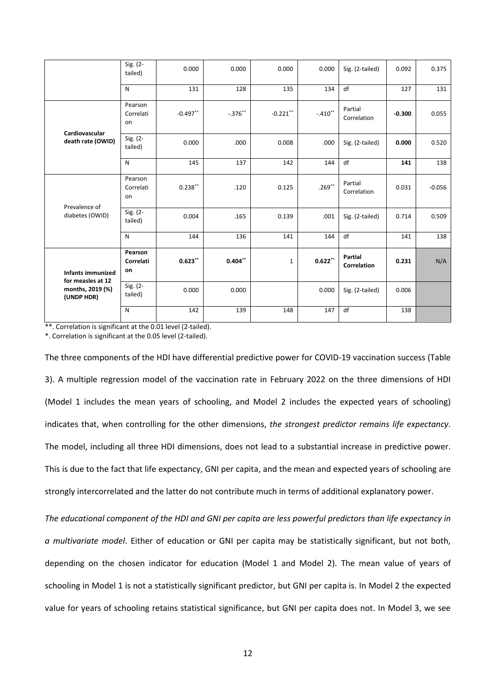|                                               | Sig. (2-<br>tailed)        | 0.000      | 0.000     | 0.000        | 0.000     | Sig. (2-tailed)                                                                                | 0.092    | 0.375    |
|-----------------------------------------------|----------------------------|------------|-----------|--------------|-----------|------------------------------------------------------------------------------------------------|----------|----------|
|                                               | N                          | 131        | 128       | 135          | 134       | df                                                                                             | 127      | 131      |
|                                               | Pearson<br>Correlati<br>on | $-0.497**$ | $-.376**$ | $-0.221**$   | $-.410**$ | Partial<br>Correlation                                                                         | $-0.300$ | 0.055    |
| Cardiovascular<br>death rate (OWID)           | Sig. (2-<br>tailed)        | 0.000      | .000      | 0.008        | .000      | Sig. (2-tailed)                                                                                | 0.000    | 0.520    |
|                                               | N                          | 145        | 137       | 142          | 144       | df                                                                                             | 141      | 138      |
|                                               | Pearson<br>Correlati<br>on | $0.238***$ | .120      | 0.125        | $.269***$ | Partial<br>Correlation                                                                         | 0.031    | $-0.056$ |
| Prevalence of<br>diabetes (OWID)              | Sig. (2-<br>tailed)        | 0.004      | .165      | 0.139        | .001      | Sig. (2-tailed)                                                                                | 0.714    | 0.509    |
|                                               | $\mathsf{N}$               | 144        | 136       | 141          | 144       | df<br>Partial<br>$\mathbf{0.622}^{**}$<br>Correlation<br>0.000<br>Sig. (2-tailed)<br>df<br>147 | 141      | 138      |
| <b>Infants immunized</b><br>for measles at 12 | Pearson<br>Correlati<br>on | $0.623**$  | $0.404**$ | $\mathbf{1}$ |           |                                                                                                | 0.231    | N/A      |
| months, 2019 (%)<br>(UNDP HDR)                | Sig. (2-<br>tailed)        | 0.000      | 0.000     |              |           |                                                                                                | 0.006    |          |
|                                               | N                          | 142        | 139       | 148          |           |                                                                                                | 138      |          |

\*\*. Correlation is significant at the 0.01 level (2-tailed).

\*. Correlation is significant at the 0.05 level (2-tailed).

The three components of the HDI have differential predictive power for COVID-19 vaccination success (Table 3). A multiple regression model of the vaccination rate in February 2022 on the three dimensions of HDI (Model 1 includes the mean years of schooling, and Model 2 includes the expected years of schooling) indicates that, when controlling for the other dimensions, *the strongest predictor remains life expectancy*. The model, including all three HDI dimensions, does not lead to a substantial increase in predictive power. This is due to the fact that life expectancy, GNI per capita, and the mean and expected years of schooling are strongly intercorrelated and the latter do not contribute much in terms of additional explanatory power.

*The educational component of the HDI and GNI per capita are less powerful predictors than life expectancy in a multivariate model*. Either of education or GNI per capita may be statistically significant, but not both, depending on the chosen indicator for education (Model 1 and Model 2). The mean value of years of schooling in Model 1 is not a statistically significant predictor, but GNI per capita is. In Model 2 the expected value for years of schooling retains statistical significance, but GNI per capita does not. In Model 3, we see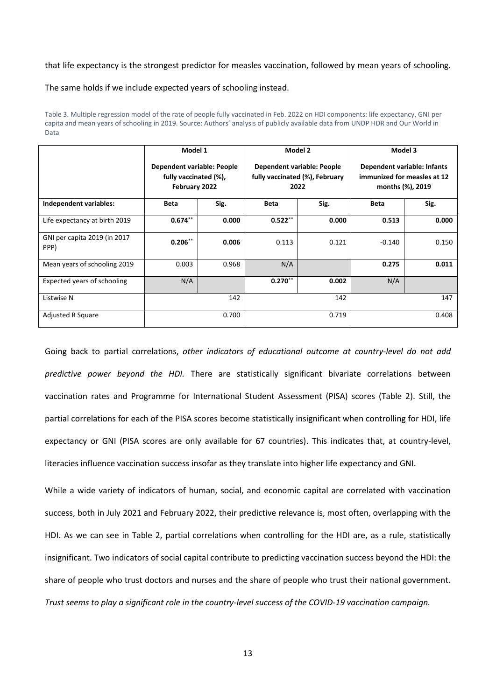that life expectancy is the strongest predictor for measles vaccination, followed by mean years of schooling.

The same holds if we include expected years of schooling instead.

|                                      | Model 1                                                              |       | Model 2                                                              |       | Model 3          |                                                            |  |
|--------------------------------------|----------------------------------------------------------------------|-------|----------------------------------------------------------------------|-------|------------------|------------------------------------------------------------|--|
|                                      | Dependent variable: People<br>fully vaccinated (%),<br>February 2022 |       | Dependent variable: People<br>fully vaccinated (%), February<br>2022 |       | months (%), 2019 | Dependent variable: Infants<br>immunized for measles at 12 |  |
| Independent variables:               | <b>Beta</b>                                                          | Sig.  | <b>Beta</b>                                                          | Sig.  | <b>Beta</b>      | Sig.                                                       |  |
| Life expectancy at birth 2019        | $0.674**$                                                            | 0.000 | $0.522***$                                                           | 0.000 | 0.513            | 0.000                                                      |  |
| GNI per capita 2019 (in 2017<br>PPP) | $0.206**$                                                            | 0.006 | 0.113                                                                | 0.121 | $-0.140$         | 0.150                                                      |  |
| Mean years of schooling 2019         | 0.003                                                                | 0.968 | N/A                                                                  |       | 0.275            | 0.011                                                      |  |
| Expected years of schooling          | N/A                                                                  |       | $0.270**$                                                            | 0.002 | N/A              |                                                            |  |
| Listwise N                           | 142                                                                  |       | 142                                                                  |       | 147              |                                                            |  |
| <b>Adjusted R Square</b>             |                                                                      | 0.700 |                                                                      | 0.719 | 0.408            |                                                            |  |

Table 3. Multiple regression model of the rate of people fully vaccinated in Feb. 2022 on HDI components: life expectancy, GNI per capita and mean years of schooling in 2019. Source: Authors' analysis of publicly available data from UNDP HDR and Our World in Data

Going back to partial correlations, *other indicators of educational outcome at country-level do not add predictive power beyond the HDI.* There are statistically significant bivariate correlations between vaccination rates and Programme for International Student Assessment (PISA) scores (Table 2). Still, the partial correlations for each of the PISA scores become statistically insignificant when controlling for HDI, life expectancy or GNI (PISA scores are only available for 67 countries). This indicates that, at country-level, literacies influence vaccination success insofar as they translate into higher life expectancy and GNI.

While a wide variety of indicators of human, social, and economic capital are correlated with vaccination success, both in July 2021 and February 2022, their predictive relevance is, most often, overlapping with the HDI. As we can see in Table 2, partial correlations when controlling for the HDI are, as a rule, statistically insignificant. Two indicators of social capital contribute to predicting vaccination success beyond the HDI: the share of people who trust doctors and nurses and the share of people who trust their national government. *Trust seems to play a significant role in the country-level success of the COVID-19 vaccination campaign.*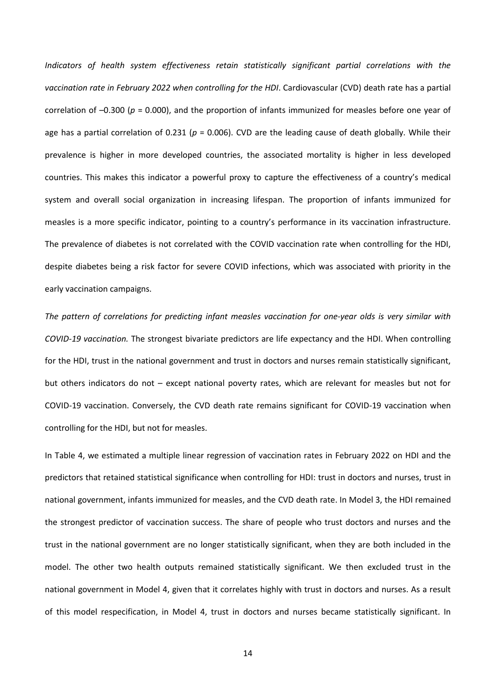*Indicators of health system effectiveness retain statistically significant partial correlations with the vaccination rate in February 2022 when controlling for the HDI*. Cardiovascular (CVD) death rate has a partial correlation of –0.300 (*p* = 0.000), and the proportion of infants immunized for measles before one year of age has a partial correlation of 0.231 (*p* = 0.006). CVD are the leading cause of death globally. While their prevalence is higher in more developed countries, the associated mortality is higher in less developed countries. This makes this indicator a powerful proxy to capture the effectiveness of a country's medical system and overall social organization in increasing lifespan. The proportion of infants immunized for measles is a more specific indicator, pointing to a country's performance in its vaccination infrastructure. The prevalence of diabetes is not correlated with the COVID vaccination rate when controlling for the HDI, despite diabetes being a risk factor for severe COVID infections, which was associated with priority in the early vaccination campaigns.

*The pattern of correlations for predicting infant measles vaccination for one-year olds is very similar with COVID-19 vaccination.* The strongest bivariate predictors are life expectancy and the HDI. When controlling for the HDI, trust in the national government and trust in doctors and nurses remain statistically significant, but others indicators do not – except national poverty rates, which are relevant for measles but not for COVID-19 vaccination. Conversely, the CVD death rate remains significant for COVID-19 vaccination when controlling for the HDI, but not for measles.

In Table 4, we estimated a multiple linear regression of vaccination rates in February 2022 on HDI and the predictors that retained statistical significance when controlling for HDI: trust in doctors and nurses, trust in national government, infants immunized for measles, and the CVD death rate. In Model 3, the HDI remained the strongest predictor of vaccination success. The share of people who trust doctors and nurses and the trust in the national government are no longer statistically significant, when they are both included in the model. The other two health outputs remained statistically significant. We then excluded trust in the national government in Model 4, given that it correlates highly with trust in doctors and nurses. As a result of this model respecification, in Model 4, trust in doctors and nurses became statistically significant. In

14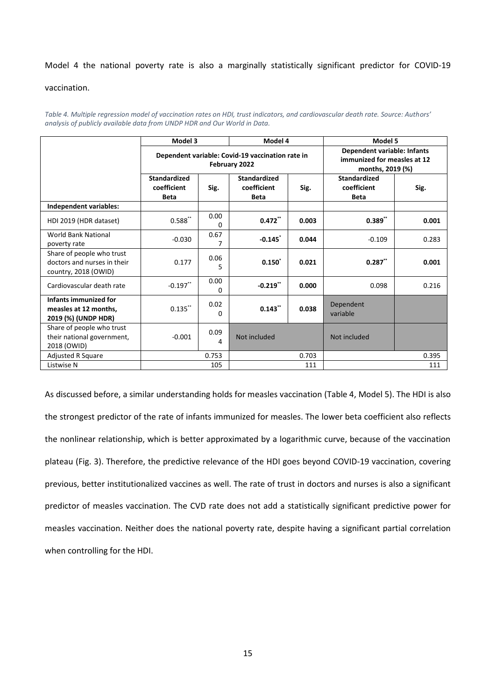#### Model 4 the national poverty rate is also a marginally statistically significant predictor for COVID-19

#### vaccination.

*Table 4. Multiple regression model of vaccination rates on HDI, trust indicators, and cardiovascular death rate. Source: Authors' analysis of publicly available data from UNDP HDR and Our World in Data.*

|                                                                                  | Model 3                                                           |           | Model 4                                           |       | Model 5                                                                        |       |  |
|----------------------------------------------------------------------------------|-------------------------------------------------------------------|-----------|---------------------------------------------------|-------|--------------------------------------------------------------------------------|-------|--|
|                                                                                  | Dependent variable: Covid-19 vaccination rate in<br>February 2022 |           |                                                   |       | Dependent variable: Infants<br>immunized for measles at 12<br>months, 2019 (%) |       |  |
|                                                                                  | <b>Standardized</b><br>coefficient<br><b>Beta</b>                 | Sig.      | <b>Standardized</b><br>coefficient<br><b>Beta</b> | Sig.  | <b>Standardized</b><br>coefficient<br><b>Beta</b>                              | Sig.  |  |
| Independent variables:                                                           |                                                                   |           |                                                   |       |                                                                                |       |  |
| HDI 2019 (HDR dataset)                                                           | $0.588$ **                                                        | 0.00<br>0 | $0.472$ **                                        | 0.003 | $0.389**$                                                                      | 0.001 |  |
| <b>World Bank National</b><br>poverty rate                                       | $-0.030$                                                          | 0.67<br>7 | $-0.145$                                          | 0.044 | $-0.109$                                                                       | 0.283 |  |
| Share of people who trust<br>doctors and nurses in their<br>country, 2018 (OWID) | 0.177                                                             | 0.06<br>5 | $0.150^*$                                         | 0.021 | 0.287                                                                          | 0.001 |  |
| Cardiovascular death rate                                                        | $-0.197$ **                                                       | 0.00<br>0 | $-0.219$ **                                       | 0.000 | 0.098                                                                          | 0.216 |  |
| Infants immunized for<br>measles at 12 months,<br>2019 (%) (UNDP HDR)            | $0.135$ **                                                        | 0.02<br>0 | 0.143                                             | 0.038 | Dependent<br>variable                                                          |       |  |
| Share of people who trust<br>their national government,<br>2018 (OWID)           | $-0.001$                                                          | 0.09<br>4 | Not included                                      |       | Not included                                                                   |       |  |
| <b>Adjusted R Square</b>                                                         |                                                                   | 0.753     |                                                   | 0.703 |                                                                                | 0.395 |  |
| Listwise N                                                                       |                                                                   | 105       |                                                   | 111   |                                                                                | 111   |  |

As discussed before, a similar understanding holds for measles vaccination (Table 4, Model 5). The HDI is also the strongest predictor of the rate of infants immunized for measles. The lower beta coefficient also reflects the nonlinear relationship, which is better approximated by a logarithmic curve, because of the vaccination plateau (Fig. 3). Therefore, the predictive relevance of the HDI goes beyond COVID-19 vaccination, covering previous, better institutionalized vaccines as well. The rate of trust in doctors and nurses is also a significant predictor of measles vaccination. The CVD rate does not add a statistically significant predictive power for measles vaccination. Neither does the national poverty rate, despite having a significant partial correlation when controlling for the HDI.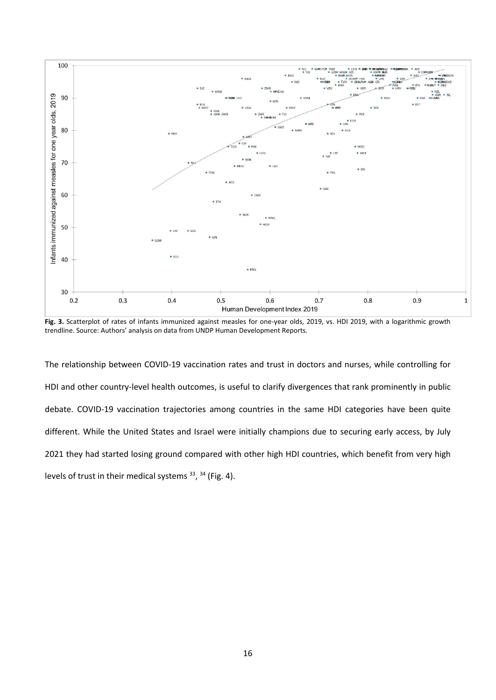

Fig. 3. Scatterplot of rates of infants immunized against measles for one-year olds, 2019, vs. HDI 2019, with a logarithmic growth trendline. Source: Authors' analysis on data from UNDP Human Development Reports.

The relationship between COVID-19 vaccination rates and trust in doctors and nurses, while controlling for HDI and other country-level health outcomes, is useful to clarify divergences that rank prominently in public debate. COVID-19 vaccination trajectories among countries in the same HDI categories have been quite different. While the United States and Israel were initially champions due to securing early access, by July 2021 they had started losing ground compared with other high HDI countries, which benefit from very high levels of trust in their medical systems  $^{33}$ ,  $^{34}$  (Fig. 4).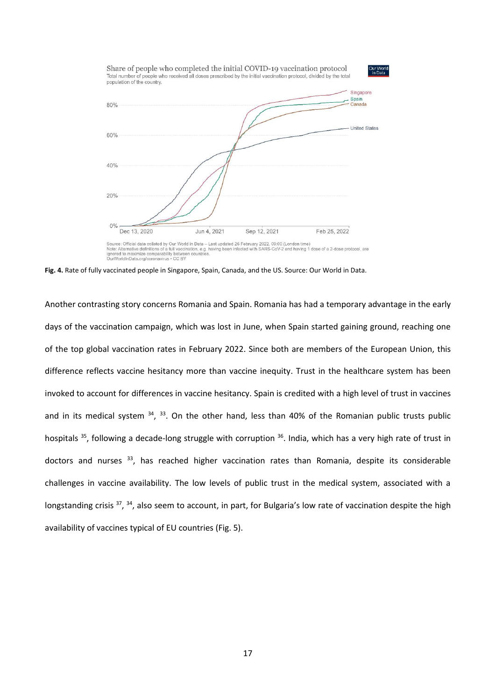

ignored to maximize comparability between

**Fig. 4.** Rate of fully vaccinated people in Singapore, Spain, Canada, and the US. Source: Our World in Data.

Another contrasting story concerns Romania and Spain. Romania has had a temporary advantage in the early days of the vaccination campaign, which was lost in June, when Spain started gaining ground, reaching one of the top global vaccination rates in February 2022. Since both are members of the European Union, this difference reflects vaccine hesitancy more than vaccine inequity. Trust in the healthcare system has been invoked to account for differences in vaccine hesitancy. Spain is credited with a high level of trust in vaccines and in its medical system  $34$ ,  $33$ . On the other hand, less than 40% of the Romanian public trusts public hospitals <sup>35</sup>, following a decade-long struggle with corruption <sup>36</sup>. India, which has a very high rate of trust in doctors and nurses <sup>33</sup>, has reached higher vaccination rates than Romania, despite its considerable challenges in vaccine availability. The low levels of public trust in the medical system, associated with a longstanding crisis <sup>37</sup>, <sup>34</sup>, also seem to account, in part, for Bulgaria's low rate of vaccination despite the high availability of vaccines typical of EU countries (Fig. 5).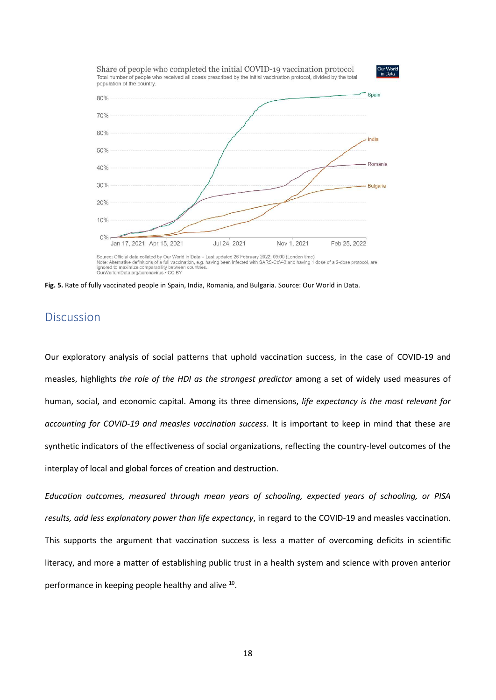

Source: Official data collated by Our World in Data - Last updated 26 February 2022, 09:00 (London time)<br>Note: Alternative definitions of a full vaccination, e.g. having been infected with SARS-CoV-2 and having 1 dose of a ignored to maximize comparability between countries<br>OurWorldInData.org/coronavirus • CC BY

**Fig. 5.** Rate of fully vaccinated people in Spain, India, Romania, and Bulgaria. Source: Our World in Data.

#### **Discussion**

Our exploratory analysis of social patterns that uphold vaccination success, in the case of COVID-19 and measles, highlights *the role of the HDI as the strongest predictor* among a set of widely used measures of human, social, and economic capital. Among its three dimensions, *life expectancy is the most relevant for accounting for COVID-19 and measles vaccination success*. It is important to keep in mind that these are synthetic indicators of the effectiveness of social organizations, reflecting the country-level outcomes of the interplay of local and global forces of creation and destruction.

*Education outcomes, measured through mean years of schooling, expected years of schooling, or PISA results, add less explanatory power than life expectancy*, in regard to the COVID-19 and measles vaccination. This supports the argument that vaccination success is less a matter of overcoming deficits in scientific literacy, and more a matter of establishing public trust in a health system and science with proven anterior performance in keeping people healthy and alive <sup>10</sup>.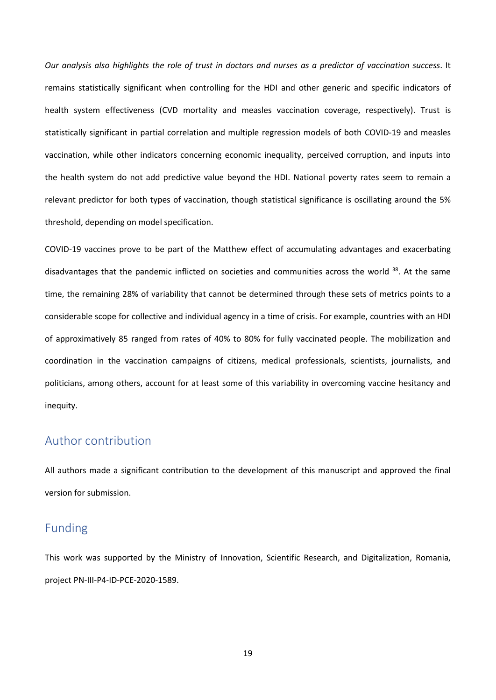*Our analysis also highlights the role of trust in doctors and nurses as a predictor of vaccination success*. It remains statistically significant when controlling for the HDI and other generic and specific indicators of health system effectiveness (CVD mortality and measles vaccination coverage, respectively). Trust is statistically significant in partial correlation and multiple regression models of both COVID-19 and measles vaccination, while other indicators concerning economic inequality, perceived corruption, and inputs into the health system do not add predictive value beyond the HDI. National poverty rates seem to remain a relevant predictor for both types of vaccination, though statistical significance is oscillating around the 5% threshold, depending on model specification.

COVID-19 vaccines prove to be part of the Matthew effect of accumulating advantages and exacerbating disadvantages that the pandemic inflicted on societies and communities across the world <sup>38</sup>. At the same time, the remaining 28% of variability that cannot be determined through these sets of metrics points to a considerable scope for collective and individual agency in a time of crisis. For example, countries with an HDI of approximatively 85 ranged from rates of 40% to 80% for fully vaccinated people. The mobilization and coordination in the vaccination campaigns of citizens, medical professionals, scientists, journalists, and politicians, among others, account for at least some of this variability in overcoming vaccine hesitancy and inequity.

#### Author contribution

All authors made a significant contribution to the development of this manuscript and approved the final version for submission.

# Funding

This work was supported by the Ministry of Innovation, Scientific Research, and Digitalization, Romania, project PN-III-P4-ID-PCE-2020-1589.

19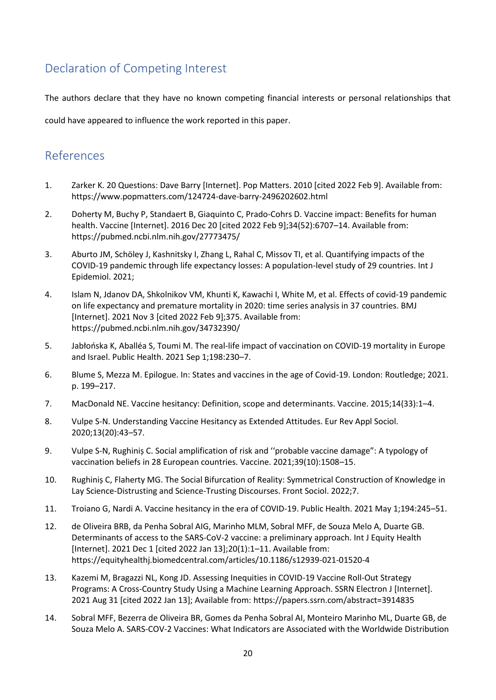# Declaration of Competing Interest

The authors declare that they have no known competing financial interests or personal relationships that

could have appeared to influence the work reported in this paper.

# References

- 1. Zarker K. 20 Questions: Dave Barry [Internet]. Pop Matters. 2010 [cited 2022 Feb 9]. Available from: https://www.popmatters.com/124724-dave-barry-2496202602.html
- 2. Doherty M, Buchy P, Standaert B, Giaquinto C, Prado-Cohrs D. Vaccine impact: Benefits for human health. Vaccine [Internet]. 2016 Dec 20 [cited 2022 Feb 9];34(52):6707–14. Available from: https://pubmed.ncbi.nlm.nih.gov/27773475/
- 3. Aburto JM, Schöley J, Kashnitsky I, Zhang L, Rahal C, Missov TI, et al. Quantifying impacts of the COVID-19 pandemic through life expectancy losses: A population-level study of 29 countries. Int J Epidemiol. 2021;
- 4. Islam N, Jdanov DA, Shkolnikov VM, Khunti K, Kawachi I, White M, et al. Effects of covid-19 pandemic on life expectancy and premature mortality in 2020: time series analysis in 37 countries. BMJ [Internet]. 2021 Nov 3 [cited 2022 Feb 9];375. Available from: https://pubmed.ncbi.nlm.nih.gov/34732390/
- 5. Jabłońska K, Aballéa S, Toumi M. The real-life impact of vaccination on COVID-19 mortality in Europe and Israel. Public Health. 2021 Sep 1;198:230–7.
- 6. Blume S, Mezza M. Epilogue. In: States and vaccines in the age of Covid-19. London: Routledge; 2021. p. 199–217.
- 7. MacDonald NE. Vaccine hesitancy: Definition, scope and determinants. Vaccine. 2015;14(33):1–4.
- 8. Vulpe S-N. Understanding Vaccine Hesitancy as Extended Attitudes. Eur Rev Appl Sociol. 2020;13(20):43–57.
- 9. Vulpe S-N, Rughiniș C. Social amplification of risk and ''probable vaccine damage": A typology of vaccination beliefs in 28 European countries. Vaccine. 2021;39(10):1508–15.
- 10. Rughiniș C, Flaherty MG. The Social Bifurcation of Reality: Symmetrical Construction of Knowledge in Lay Science-Distrusting and Science-Trusting Discourses. Front Sociol. 2022;7.
- 11. Troiano G, Nardi A. Vaccine hesitancy in the era of COVID-19. Public Health. 2021 May 1;194:245–51.
- 12. de Oliveira BRB, da Penha Sobral AIG, Marinho MLM, Sobral MFF, de Souza Melo A, Duarte GB. Determinants of access to the SARS-CoV-2 vaccine: a preliminary approach. Int J Equity Health [Internet]. 2021 Dec 1 [cited 2022 Jan 13];20(1):1–11. Available from: https://equityhealthj.biomedcentral.com/articles/10.1186/s12939-021-01520-4
- 13. Kazemi M, Bragazzi NL, Kong JD. Assessing Inequities in COVID-19 Vaccine Roll-Out Strategy Programs: A Cross-Country Study Using a Machine Learning Approach. SSRN Electron J [Internet]. 2021 Aug 31 [cited 2022 Jan 13]; Available from: https://papers.ssrn.com/abstract=3914835
- 14. Sobral MFF, Bezerra de Oliveira BR, Gomes da Penha Sobral AI, Monteiro Marinho ML, Duarte GB, de Souza Melo A. SARS-COV-2 Vaccines: What Indicators are Associated with the Worldwide Distribution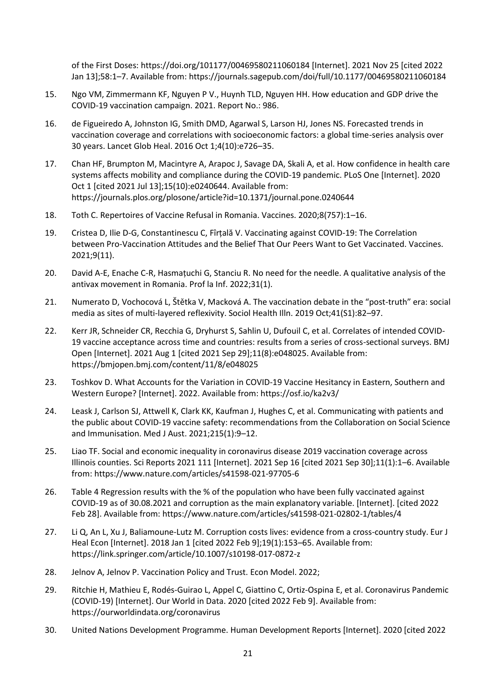of the First Doses: https://doi.org/101177/00469580211060184 [Internet]. 2021 Nov 25 [cited 2022 Jan 13];58:1–7. Available from: https://journals.sagepub.com/doi/full/10.1177/00469580211060184

- 15. Ngo VM, Zimmermann KF, Nguyen P V., Huynh TLD, Nguyen HH. How education and GDP drive the COVID-19 vaccination campaign. 2021. Report No.: 986.
- 16. de Figueiredo A, Johnston IG, Smith DMD, Agarwal S, Larson HJ, Jones NS. Forecasted trends in vaccination coverage and correlations with socioeconomic factors: a global time-series analysis over 30 years. Lancet Glob Heal. 2016 Oct 1;4(10):e726–35.
- 17. Chan HF, Brumpton M, Macintyre A, Arapoc J, Savage DA, Skali A, et al. How confidence in health care systems affects mobility and compliance during the COVID-19 pandemic. PLoS One [Internet]. 2020 Oct 1 [cited 2021 Jul 13];15(10):e0240644. Available from: https://journals.plos.org/plosone/article?id=10.1371/journal.pone.0240644
- 18. Toth C. Repertoires of Vaccine Refusal in Romania. Vaccines. 2020;8(757):1–16.
- 19. Cristea D, Ilie D-G, Constantinescu C, Fîrțală V. Vaccinating against COVID-19: The Correlation between Pro-Vaccination Attitudes and the Belief That Our Peers Want to Get Vaccinated. Vaccines. 2021;9(11).
- 20. David A-E, Enache C-R, Hasmațuchi G, Stanciu R. No need for the needle. A qualitative analysis of the antivax movement in Romania. Prof la Inf. 2022;31(1).
- 21. Numerato D, Vochocová L, Štětka V, Macková A. The vaccination debate in the "post‐truth" era: social media as sites of multi‐layered reflexivity. Sociol Health Illn. 2019 Oct;41(S1):82–97.
- 22. Kerr JR, Schneider CR, Recchia G, Dryhurst S, Sahlin U, Dufouil C, et al. Correlates of intended COVID-19 vaccine acceptance across time and countries: results from a series of cross-sectional surveys. BMJ Open [Internet]. 2021 Aug 1 [cited 2021 Sep 29];11(8):e048025. Available from: https://bmjopen.bmj.com/content/11/8/e048025
- 23. Toshkov D. What Accounts for the Variation in COVID-19 Vaccine Hesitancy in Eastern, Southern and Western Europe? [Internet]. 2022. Available from: https://osf.io/ka2v3/
- 24. Leask J, Carlson SJ, Attwell K, Clark KK, Kaufman J, Hughes C, et al. Communicating with patients and the public about COVID-19 vaccine safety: recommendations from the Collaboration on Social Science and Immunisation. Med J Aust. 2021;215(1):9–12.
- 25. Liao TF. Social and economic inequality in coronavirus disease 2019 vaccination coverage across Illinois counties. Sci Reports 2021 111 [Internet]. 2021 Sep 16 [cited 2021 Sep 30];11(1):1–6. Available from: https://www.nature.com/articles/s41598-021-97705-6
- 26. Table 4 Regression results with the % of the population who have been fully vaccinated against COVID-19 as of 30.08.2021 and corruption as the main explanatory variable. [Internet]. [cited 2022 Feb 28]. Available from: https://www.nature.com/articles/s41598-021-02802-1/tables/4
- 27. Li Q, An L, Xu J, Baliamoune-Lutz M. Corruption costs lives: evidence from a cross-country study. Eur J Heal Econ [Internet]. 2018 Jan 1 [cited 2022 Feb 9];19(1):153–65. Available from: https://link.springer.com/article/10.1007/s10198-017-0872-z
- 28. Jelnov A, Jelnov P. Vaccination Policy and Trust. Econ Model. 2022;
- 29. Ritchie H, Mathieu E, Rodés-Guirao L, Appel C, Giattino C, Ortiz-Ospina E, et al. Coronavirus Pandemic (COVID-19) [Internet]. Our World in Data. 2020 [cited 2022 Feb 9]. Available from: https://ourworldindata.org/coronavirus
- 30. United Nations Development Programme. Human Development Reports [Internet]. 2020 [cited 2022